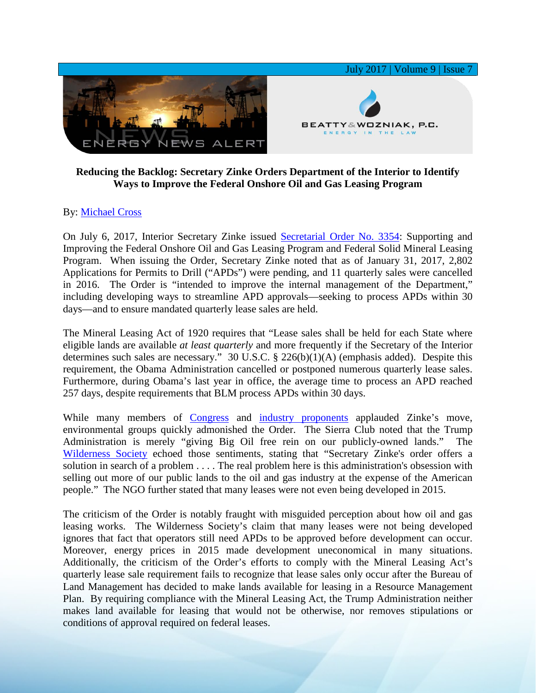

## **Reducing the Backlog: Secretary Zinke Orders Department of the Interior to Identify Ways to Improve the Federal Onshore Oil and Gas Leasing Program**

## By: [Michael Cross](https://www.bwenergylaw.com/michael-cross)

On July 6, 2017, Interior Secretary Zinke issued [Secretarial Order No. 3354:](https://www.doi.gov/sites/doi.gov/files/uploads/doi-so-3354.pdf) Supporting and Improving the Federal Onshore Oil and Gas Leasing Program and Federal Solid Mineral Leasing Program. When issuing the Order, Secretary Zinke noted that as of January 31, 2017, 2,802 Applications for Permits to Drill ("APDs") were pending, and 11 quarterly sales were cancelled in 2016. The Order is "intended to improve the internal management of the Department," including developing ways to streamline APD approvals—seeking to process APDs within 30 days—and to ensure mandated quarterly lease sales are held.

The Mineral Leasing Act of 1920 requires that "Lease sales shall be held for each State where eligible lands are available *at least quarterly* and more frequently if the Secretary of the Interior determines such sales are necessary." 30 U.S.C. § 226(b)(1)(A) (emphasis added). Despite this requirement, the Obama Administration cancelled or postponed numerous quarterly lease sales. Furthermore, during Obama's last year in office, the average time to process an APD reached 257 days, despite requirements that BLM process APDs within 30 days.

While many members of [Congress](https://westerncaucus.house.gov/media-center/press-releases/western-caucus-members-praise-zinke-onshore-order-that-supports-american) and [industry proponents](http://www.naturalgasintel.com/articles/111024-order-to-streamline-permitting-fix-drilling-backlog-issued-by-interior) applauded Zinke's move, environmental groups quickly admonished the Order. The Sierra Club noted that the Trump Administration is merely "giving Big Oil free rein on our publicly-owned lands." The [Wilderness Society](https://www.roughneckcity.com/roughneck-city/oilfieldnews/995/interior-secretary-ryan-zinke-orders-faster-approval-of-oil-and-gas-drilling-on-federal-lands) echoed those sentiments, stating that "Secretary Zinke's order offers a solution in search of a problem . . . . The real problem here is this administration's obsession with selling out more of our public lands to the oil and gas industry at the expense of the American people." The NGO further stated that many leases were not even being developed in 2015.

The criticism of the Order is notably fraught with misguided perception about how oil and gas leasing works. The Wilderness Society's claim that many leases were not being developed ignores that fact that operators still need APDs to be approved before development can occur. Moreover, energy prices in 2015 made development uneconomical in many situations. Additionally, the criticism of the Order's efforts to comply with the Mineral Leasing Act's quarterly lease sale requirement fails to recognize that lease sales only occur after the Bureau of Land Management has decided to make lands available for leasing in a Resource Management Plan. By requiring compliance with the Mineral Leasing Act, the Trump Administration neither makes land available for leasing that would not be otherwise, nor removes stipulations or conditions of approval required on federal leases.